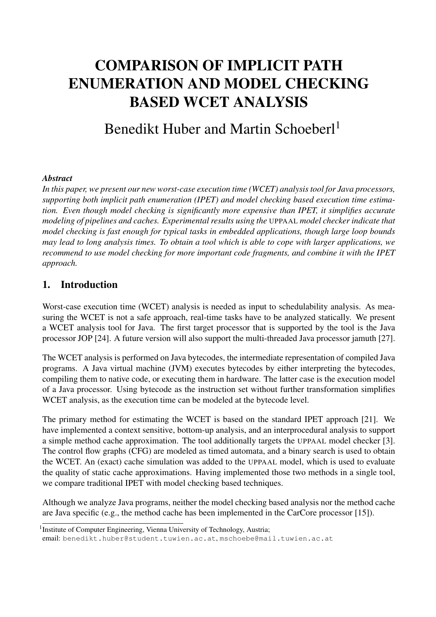# COMPARISON OF IMPLICIT PATH ENUMERATION AND MODEL CHECKING BASED WCET ANALYSIS

# Benedikt Huber and Martin Schoeberl<sup>1</sup>

### *Abstract*

*In this paper, we present our new worst-case execution time (WCET) analysis tool for Java processors, supporting both implicit path enumeration (IPET) and model checking based execution time estimation. Even though model checking is significantly more expensive than IPET, it simplifies accurate modeling of pipelines and caches. Experimental results using the* UPPAAL *model checker indicate that model checking is fast enough for typical tasks in embedded applications, though large loop bounds may lead to long analysis times. To obtain a tool which is able to cope with larger applications, we recommend to use model checking for more important code fragments, and combine it with the IPET approach.*

## 1. Introduction

Worst-case execution time (WCET) analysis is needed as input to schedulability analysis. As measuring the WCET is not a safe approach, real-time tasks have to be analyzed statically. We present a WCET analysis tool for Java. The first target processor that is supported by the tool is the Java processor JOP [24]. A future version will also support the multi-threaded Java processor jamuth [27].

The WCET analysis is performed on Java bytecodes, the intermediate representation of compiled Java programs. A Java virtual machine (JVM) executes bytecodes by either interpreting the bytecodes, compiling them to native code, or executing them in hardware. The latter case is the execution model of a Java processor. Using bytecode as the instruction set without further transformation simplifies WCET analysis, as the execution time can be modeled at the bytecode level.

The primary method for estimating the WCET is based on the standard IPET approach [21]. We have implemented a context sensitive, bottom-up analysis, and an interprocedural analysis to support a simple method cache approximation. The tool additionally targets the UPPAAL model checker [3]. The control flow graphs (CFG) are modeled as timed automata, and a binary search is used to obtain the WCET. An (exact) cache simulation was added to the UPPAAL model, which is used to evaluate the quality of static cache approximations. Having implemented those two methods in a single tool, we compare traditional IPET with model checking based techniques.

Although we analyze Java programs, neither the model checking based analysis nor the method cache are Java specific (e.g., the method cache has been implemented in the CarCore processor [15]).

<sup>&</sup>lt;sup>1</sup> Institute of Computer Engineering, Vienna University of Technology, Austria;

email: benedikt.huber@student.tuwien.ac.at, mschoebe@mail.tuwien.ac.at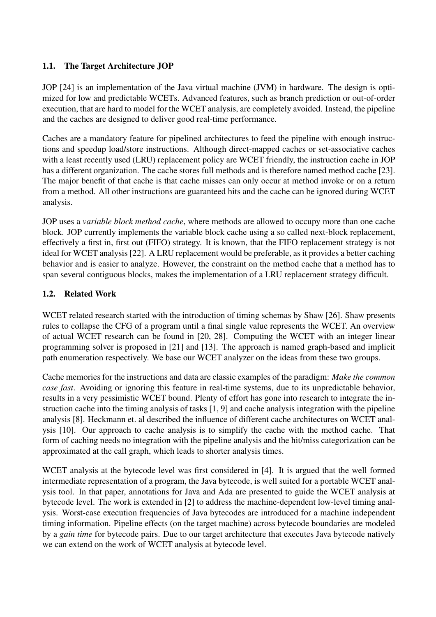### 1.1. The Target Architecture JOP

JOP [24] is an implementation of the Java virtual machine (JVM) in hardware. The design is optimized for low and predictable WCETs. Advanced features, such as branch prediction or out-of-order execution, that are hard to model for the WCET analysis, are completely avoided. Instead, the pipeline and the caches are designed to deliver good real-time performance.

Caches are a mandatory feature for pipelined architectures to feed the pipeline with enough instructions and speedup load/store instructions. Although direct-mapped caches or set-associative caches with a least recently used (LRU) replacement policy are WCET friendly, the instruction cache in JOP has a different organization. The cache stores full methods and is therefore named method cache [23]. The major benefit of that cache is that cache misses can only occur at method invoke or on a return from a method. All other instructions are guaranteed hits and the cache can be ignored during WCET analysis.

JOP uses a *variable block method cache*, where methods are allowed to occupy more than one cache block. JOP currently implements the variable block cache using a so called next-block replacement, effectively a first in, first out (FIFO) strategy. It is known, that the FIFO replacement strategy is not ideal for WCET analysis [22]. A LRU replacement would be preferable, as it provides a better caching behavior and is easier to analyze. However, the constraint on the method cache that a method has to span several contiguous blocks, makes the implementation of a LRU replacement strategy difficult.

#### 1.2. Related Work

WCET related research started with the introduction of timing schemas by Shaw [26]. Shaw presents rules to collapse the CFG of a program until a final single value represents the WCET. An overview of actual WCET research can be found in [20, 28]. Computing the WCET with an integer linear programming solver is proposed in [21] and [13]. The approach is named graph-based and implicit path enumeration respectively. We base our WCET analyzer on the ideas from these two groups.

Cache memories for the instructions and data are classic examples of the paradigm: *Make the common case fast*. Avoiding or ignoring this feature in real-time systems, due to its unpredictable behavior, results in a very pessimistic WCET bound. Plenty of effort has gone into research to integrate the instruction cache into the timing analysis of tasks [1, 9] and cache analysis integration with the pipeline analysis [8]. Heckmann et. al described the influence of different cache architectures on WCET analysis [10]. Our approach to cache analysis is to simplify the cache with the method cache. That form of caching needs no integration with the pipeline analysis and the hit/miss categorization can be approximated at the call graph, which leads to shorter analysis times.

WCET analysis at the bytecode level was first considered in [4]. It is argued that the well formed intermediate representation of a program, the Java bytecode, is well suited for a portable WCET analysis tool. In that paper, annotations for Java and Ada are presented to guide the WCET analysis at bytecode level. The work is extended in [2] to address the machine-dependent low-level timing analysis. Worst-case execution frequencies of Java bytecodes are introduced for a machine independent timing information. Pipeline effects (on the target machine) across bytecode boundaries are modeled by a *gain time* for bytecode pairs. Due to our target architecture that executes Java bytecode natively we can extend on the work of WCET analysis at bytecode level.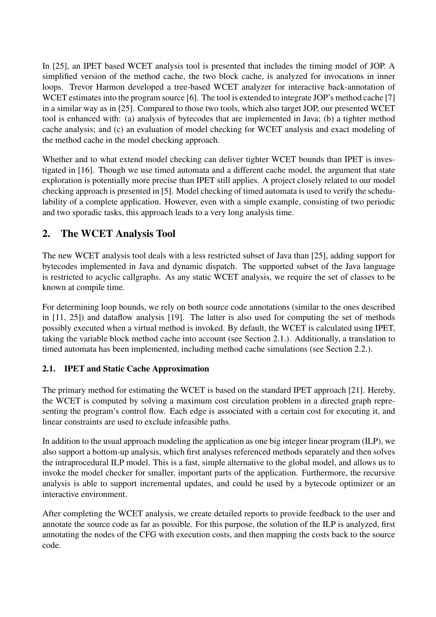In [25], an IPET based WCET analysis tool is presented that includes the timing model of JOP. A simplified version of the method cache, the two block cache, is analyzed for invocations in inner loops. Trevor Harmon developed a tree-based WCET analyzer for interactive back-annotation of WCET estimates into the program source [6]. The tool is extended to integrate JOP's method cache [7] in a similar way as in [25]. Compared to those two tools, which also target JOP, our presented WCET tool is enhanced with: (a) analysis of bytecodes that are implemented in Java; (b) a tighter method cache analysis; and (c) an evaluation of model checking for WCET analysis and exact modeling of the method cache in the model checking approach.

Whether and to what extend model checking can deliver tighter WCET bounds than IPET is investigated in [16]. Though we use timed automata and a different cache model, the argument that state exploration is potentially more precise than IPET still applies. A project closely related to our model checking approach is presented in [5]. Model checking of timed automata is used to verify the schedulability of a complete application. However, even with a simple example, consisting of two periodic and two sporadic tasks, this approach leads to a very long analysis time.

# 2. The WCET Analysis Tool

The new WCET analysis tool deals with a less restricted subset of Java than [25], adding support for bytecodes implemented in Java and dynamic dispatch. The supported subset of the Java language is restricted to acyclic callgraphs. As any static WCET analysis, we require the set of classes to be known at compile time.

For determining loop bounds, we rely on both source code annotations (similar to the ones described in [11, 25]) and dataflow analysis [19]. The latter is also used for computing the set of methods possibly executed when a virtual method is invoked. By default, the WCET is calculated using IPET, taking the variable block method cache into account (see Section 2.1.). Additionally, a translation to timed automata has been implemented, including method cache simulations (see Section 2.2.).

## 2.1. IPET and Static Cache Approximation

The primary method for estimating the WCET is based on the standard IPET approach [21]. Hereby, the WCET is computed by solving a maximum cost circulation problem in a directed graph representing the program's control flow. Each edge is associated with a certain cost for executing it, and linear constraints are used to exclude infeasible paths.

In addition to the usual approach modeling the application as one big integer linear program (ILP), we also support a bottom-up analysis, which first analyses referenced methods separately and then solves the intraprocedural ILP model. This is a fast, simple alternative to the global model, and allows us to invoke the model checker for smaller, important parts of the application. Furthermore, the recursive analysis is able to support incremental updates, and could be used by a bytecode optimizer or an interactive environment.

After completing the WCET analysis, we create detailed reports to provide feedback to the user and annotate the source code as far as possible. For this purpose, the solution of the ILP is analyzed, first annotating the nodes of the CFG with execution costs, and then mapping the costs back to the source code.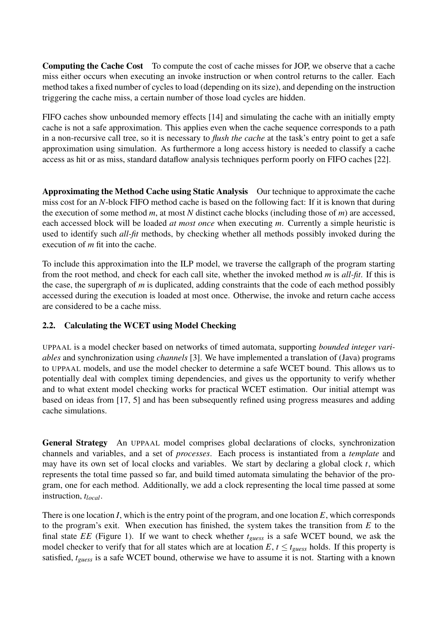Computing the Cache Cost To compute the cost of cache misses for JOP, we observe that a cache miss either occurs when executing an invoke instruction or when control returns to the caller. Each method takes a fixed number of cycles to load (depending on its size), and depending on the instruction triggering the cache miss, a certain number of those load cycles are hidden.

FIFO caches show unbounded memory effects [14] and simulating the cache with an initially empty cache is not a safe approximation. This applies even when the cache sequence corresponds to a path in a non-recursive call tree, so it is necessary to *flush the cache* at the task's entry point to get a safe approximation using simulation. As furthermore a long access history is needed to classify a cache access as hit or as miss, standard dataflow analysis techniques perform poorly on FIFO caches [22].

Approximating the Method Cache using Static Analysis Our technique to approximate the cache miss cost for an *N*-block FIFO method cache is based on the following fact: If it is known that during the execution of some method *m*, at most *N* distinct cache blocks (including those of *m*) are accessed, each accessed block will be loaded *at most once* when executing *m*. Currently a simple heuristic is used to identify such *all-fit* methods, by checking whether all methods possibly invoked during the execution of *m* fit into the cache.

To include this approximation into the ILP model, we traverse the callgraph of the program starting from the root method, and check for each call site, whether the invoked method *m* is *all-fit*. If this is the case, the supergraph of *m* is duplicated, adding constraints that the code of each method possibly accessed during the execution is loaded at most once. Otherwise, the invoke and return cache access are considered to be a cache miss.

#### 2.2. Calculating the WCET using Model Checking

UPPAAL is a model checker based on networks of timed automata, supporting *bounded integer variables* and synchronization using *channels* [3]. We have implemented a translation of (Java) programs to UPPAAL models, and use the model checker to determine a safe WCET bound. This allows us to potentially deal with complex timing dependencies, and gives us the opportunity to verify whether and to what extent model checking works for practical WCET estimation. Our initial attempt was based on ideas from [17, 5] and has been subsequently refined using progress measures and adding cache simulations.

General Strategy An UPPAAL model comprises global declarations of clocks, synchronization channels and variables, and a set of *processes*. Each process is instantiated from a *template* and may have its own set of local clocks and variables. We start by declaring a global clock *t*, which represents the total time passed so far, and build timed automata simulating the behavior of the program, one for each method. Additionally, we add a clock representing the local time passed at some instruction, *tlocal*.

There is one location *I*, which is the entry point of the program, and one location *E*, which corresponds to the program's exit. When execution has finished, the system takes the transition from *E* to the final state *EE* (Figure 1). If we want to check whether *tguess* is a safe WCET bound, we ask the model checker to verify that for all states which are at location  $E, t \leq t_{\text{guess}}$  holds. If this property is satisfied, *tguess* is a safe WCET bound, otherwise we have to assume it is not. Starting with a known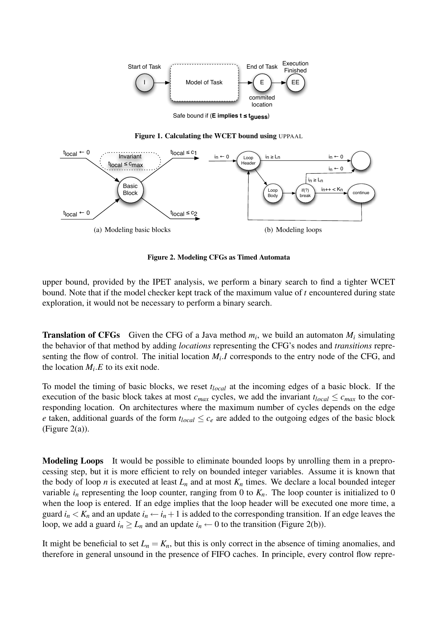

Safe bound if (**E implies t ≤ tguess**)

Figure 1. Calculating the WCET bound using UPPAAL



Figure 2. Modeling CFGs as Timed Automata

upper bound, provided by the IPET analysis, we perform a binary search to find a tighter WCET bound. Note that if the model checker kept track of the maximum value of *t* encountered during state exploration, it would not be necessary to perform a binary search.

**Translation of CFGs** Given the CFG of a Java method  $m_i$ , we build an automaton  $M_i$  simulating the behavior of that method by adding *locations* representing the CFG's nodes and *transitions* representing the flow of control. The initial location  $M_i$ . *I* corresponds to the entry node of the CFG, and the location  $M_i.E$  to its exit node.

To model the timing of basic blocks, we reset *tlocal* at the incoming edges of a basic block. If the execution of the basic block takes at most  $c_{max}$  cycles, we add the invariant  $t_{local} \leq c_{max}$  to the corresponding location. On architectures where the maximum number of cycles depends on the edge *e* taken, additional guards of the form  $t_{local} \leq c_e$  are added to the outgoing edges of the basic block (Figure 2(a)).

Modeling Loops It would be possible to eliminate bounded loops by unrolling them in a preprocessing step, but it is more efficient to rely on bounded integer variables. Assume it is known that the body of loop *n* is executed at least  $L_n$  and at most  $K_n$  times. We declare a local bounded integer variable  $i_n$  representing the loop counter, ranging from 0 to  $K_n$ . The loop counter is initialized to 0 when the loop is entered. If an edge implies that the loop header will be executed one more time, a guard  $i_n < K_n$  and an update  $i_n \leftarrow i_n + 1$  is added to the corresponding transition. If an edge leaves the loop, we add a guard  $i_n \ge L_n$  and an update  $i_n \leftarrow 0$  to the transition (Figure 2(b)).

It might be beneficial to set  $L_n = K_n$ , but this is only correct in the absence of timing anomalies, and therefore in general unsound in the presence of FIFO caches. In principle, every control flow repre-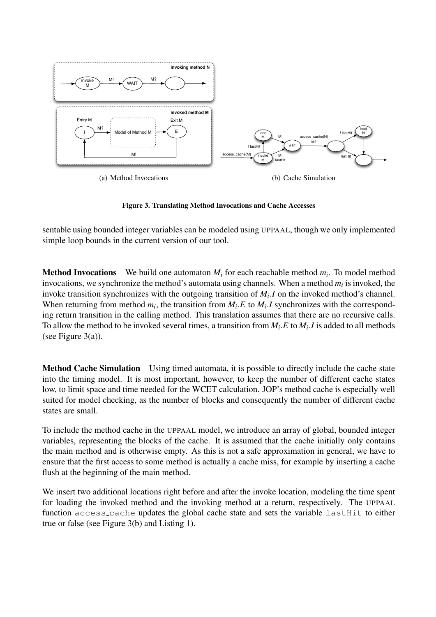

Figure 3. Translating Method Invocations and Cache Accesses

sentable using bounded integer variables can be modeled using UPPAAL, though we only implemented simple loop bounds in the current version of our tool.

**Method Invocations** We build one automaton  $M_i$  for each reachable method  $m_i$ . To model method invocations, we synchronize the method's automata using channels. When a method  $m_i$  is invoked, the invoke transition synchronizes with the outgoing transition of *M<sup>i</sup>* .*I* on the invoked method's channel. When returning from method  $m_i$ , the transition from  $M_i.E$  to  $M_i.I$  synchronizes with the corresponding return transition in the calling method. This translation assumes that there are no recursive calls. To allow the method to be invoked several times, a transition from  $M_i.E$  to  $M_i.I$  is added to all methods (see Figure  $3(a)$ ).

Method Cache Simulation Using timed automata, it is possible to directly include the cache state into the timing model. It is most important, however, to keep the number of different cache states low, to limit space and time needed for the WCET calculation. JOP's method cache is especially well suited for model checking, as the number of blocks and consequently the number of different cache states are small.

To include the method cache in the UPPAAL model, we introduce an array of global, bounded integer variables, representing the blocks of the cache. It is assumed that the cache initially only contains the main method and is otherwise empty. As this is not a safe approximation in general, we have to ensure that the first access to some method is actually a cache miss, for example by inserting a cache flush at the beginning of the main method.

We insert two additional locations right before and after the invoke location, modeling the time spent for loading the invoked method and the invoking method at a return, respectively. The UPPAAL function access\_cache updates the global cache state and sets the variable lastHit to either true or false (see Figure 3(b) and Listing 1).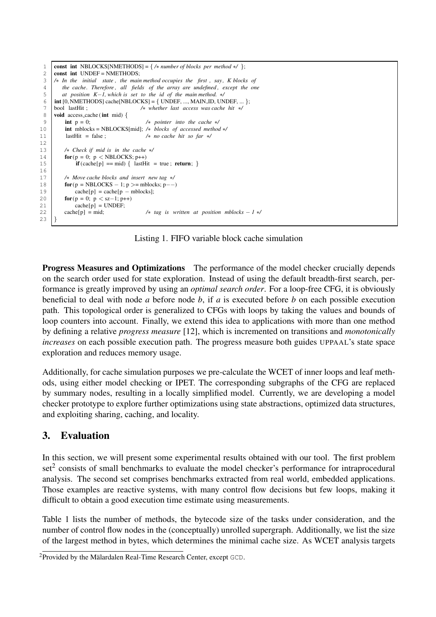```
1 const int NBLOCKS[NMETHODS] = { /∗ number of blocks per method ∗/ };
 2 const int UNDEF = NMETHODS;<br>3 /* In the initial state, the main
     3 /∗ In the initial state , the main method occupies the first , say, K blocks of
 4 the cache. Therefore, all fields of the array are undefined, except the one<br>5 at position K–1, which is set to the id of the main method. */
         5 at position K−1, which is set to the id of the main method. ∗/
 6 \mid int [0, NMETHODS] cache[NBLOCKS] = { UNDEF, ..., MAIN ID, UNDEF, ... };
 7 bool lastHit ; /∗ whether last access was cache hit ∗/
      void access_cache (int mid) {
 9 int p = 0; /∗ pointer into the cache ∗/
10 int mblocks = NBLOCKS[mid]; /∗ blocks of accessed method */<br>11 astHit = false : /* no cache hit so far */
                                              11 lastHit = false ; /∗ no cache hit so far ∗/
12
13 /∗ Check if mid is in the cache ∗/
14 for(p = 0; p < NBLOCALS; p++)
15 if (cache[p] == mid) { lastHit = true; return; }
16
17 /∗ Move cache blocks and insert new tag ∗/
18 for(p = NBLOCKS - 1; p >=mblocks; p-)<br>cache[n] = cache[n = mblocks]
               cache[p] = cache[p - mblocks];20 for(p = 0; p < sz-1; p++)<br>21 cache[p] = \text{UNDEF};
21 cache[p] = UNDEF;<br>22 cache[p] = mid;
                                              22 cache[p] = mid; /∗ tag is written at position mblocks − 1 ∗/
23 }
```
Listing 1. FIFO variable block cache simulation

Progress Measures and Optimizations The performance of the model checker crucially depends on the search order used for state exploration. Instead of using the default breadth-first search, performance is greatly improved by using an *optimal search order*. For a loop-free CFG, it is obviously beneficial to deal with node *a* before node *b*, if *a* is executed before *b* on each possible execution path. This topological order is generalized to CFGs with loops by taking the values and bounds of loop counters into account. Finally, we extend this idea to applications with more than one method by defining a relative *progress measure* [12], which is incremented on transitions and *monotonically increases* on each possible execution path. The progress measure both guides UPPAAL's state space exploration and reduces memory usage.

Additionally, for cache simulation purposes we pre-calculate the WCET of inner loops and leaf methods, using either model checking or IPET. The corresponding subgraphs of the CFG are replaced by summary nodes, resulting in a locally simplified model. Currently, we are developing a model checker prototype to explore further optimizations using state abstractions, optimized data structures, and exploiting sharing, caching, and locality.

## 3. Evaluation

In this section, we will present some experimental results obtained with our tool. The first problem set<sup>2</sup> consists of small benchmarks to evaluate the model checker's performance for intraprocedural analysis. The second set comprises benchmarks extracted from real world, embedded applications. Those examples are reactive systems, with many control flow decisions but few loops, making it difficult to obtain a good execution time estimate using measurements.

Table 1 lists the number of methods, the bytecode size of the tasks under consideration, and the number of control flow nodes in the (conceptually) unrolled supergraph. Additionally, we list the size of the largest method in bytes, which determines the minimal cache size. As WCET analysis targets

 $2P$ rovided by the Mälardalen Real-Time Research Center, except  $GCD$ .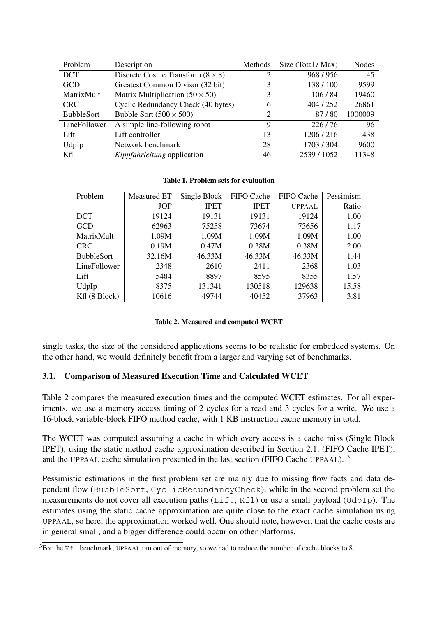| Problem           | Description                              | Methods | Size (Total / Max) | Nodes   |
|-------------------|------------------------------------------|---------|--------------------|---------|
| <b>DCT</b>        | Discrete Cosine Transform $(8 \times 8)$ | 2       | 968/956            | 45      |
| <b>GCD</b>        | Greatest Common Divisor (32 bit)         | 3       | 138/100            | 9599    |
| MatrixMult        | Matrix Multiplication $(50 \times 50)$   |         | 106/84             | 19460   |
| <b>CRC</b>        | Cyclic Redundancy Check (40 bytes)       | 6       | 404 / 252          | 26861   |
| <b>BubbleSort</b> | Bubble Sort $(500 \times 500)$           | 2       | 87/80              | 1000009 |
| LineFollower      | A simple line-following robot            | 9       | 226/76             | 96      |
| Lift              | Lift controller                          | 13      | 1206/216           | 438     |
| UdpIp             | Network benchmark                        | 28      | 1703/304           | 9600    |
| Kfl               | <i>Kippfahrleitung</i> application       | 46      | 2539/1052          | 11348   |

|  |  |  |  |  | Table 1. Problem sets for evaluation |
|--|--|--|--|--|--------------------------------------|
|--|--|--|--|--|--------------------------------------|

| Problem           | Measured ET | Single Block | FIFO Cache  | FIFO Cache | Pessimism |
|-------------------|-------------|--------------|-------------|------------|-----------|
|                   | <b>JOP</b>  | <b>IPET</b>  | <b>IPET</b> | UPPAAL     | Ratio     |
| <b>DCT</b>        | 19124       | 19131        | 19131       | 19124      | 1.00      |
| <b>GCD</b>        | 62963       | 75258        | 73674       | 73656      | 1.17      |
| MatrixMult        | 1.09M       | 1.09M        | 1.09M       | 1.09M      | 1.00      |
| <b>CRC</b>        | 0.19M       | 0.47M        | 0.38M       | 0.38M      | 2.00      |
| <b>BubbleSort</b> | 32.16M      | 46.33M       | 46.33M      | 46.33M     | 1.44      |
| LineFollower      | 2348        | 2610         | 2411        | 2368       | 1.03      |
| Lift              | 5484        | 8897         | 8595        | 8355       | 1.57      |
| UdpIp             | 8375        | 131341       | 130518      | 129638     | 15.58     |
| Kfl (8 Block)     | 10616       | 49744        | 40452       | 37963      | 3.81      |

#### Table 2. Measured and computed WCET

single tasks, the size of the considered applications seems to be realistic for embedded systems. On the other hand, we would definitely benefit from a larger and varying set of benchmarks.

#### 3.1. Comparison of Measured Execution Time and Calculated WCET

Table 2 compares the measured execution times and the computed WCET estimates. For all experiments, we use a memory access timing of 2 cycles for a read and 3 cycles for a write. We use a 16-block variable-block FIFO method cache, with 1 KB instruction cache memory in total.

The WCET was computed assuming a cache in which every access is a cache miss (Single Block IPET), using the static method cache approximation described in Section 2.1. (FIFO Cache IPET), and the UPPAAL cache simulation presented in the last section (FIFO Cache UPPAAL).  $3$ 

Pessimistic estimations in the first problem set are mainly due to missing flow facts and data dependent flow (BubbleSort, CyclicRedundancyCheck), while in the second problem set the measurements do not cover all execution paths (Lift, Kfl) or use a small payload (UdpIp). The estimates using the static cache approximation are quite close to the exact cache simulation using UPPAAL, so here, the approximation worked well. One should note, however, that the cache costs are in general small, and a bigger difference could occur on other platforms.

<sup>&</sup>lt;sup>3</sup>For the Kfl benchmark, UPPAAL ran out of memory, so we had to reduce the number of cache blocks to 8.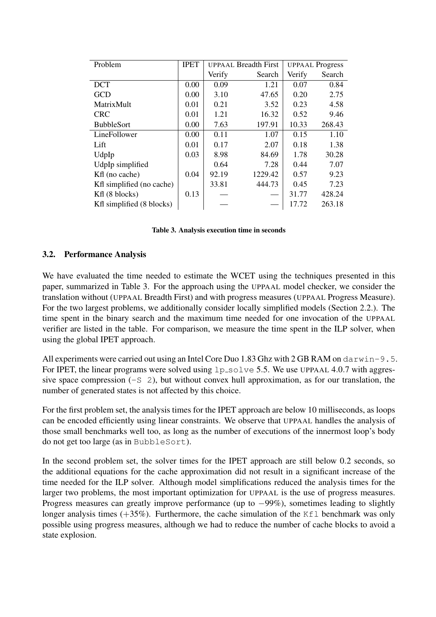| Problem                   | <b>IPET</b> | <b>UPPAAL Breadth First</b> |         | <b>UPPAAL Progress</b> |        |
|---------------------------|-------------|-----------------------------|---------|------------------------|--------|
|                           |             | Verify                      | Search  | Verify                 | Search |
| <b>DCT</b>                | 0.00        | 0.09                        | 1.21    | 0.07                   | 0.84   |
| <b>GCD</b>                | 0.00        | 3.10                        | 47.65   | 0.20                   | 2.75   |
| MatrixMult                | 0.01        | 0.21                        | 3.52    | 0.23                   | 4.58   |
| <b>CRC</b>                | 0.01        | 1.21                        | 16.32   | 0.52                   | 9.46   |
| <b>BubbleSort</b>         | 0.00        | 7.63                        | 197.91  | 10.33                  | 268.43 |
| LineFollower              | 0.00        | 0.11                        | 1.07    | 0.15                   | 1.10   |
| Lift                      | 0.01        | 0.17                        | 2.07    | 0.18                   | 1.38   |
| UdpIp                     | 0.03        | 8.98                        | 84.69   | 1.78                   | 30.28  |
| UdpIp simplified          |             | 0.64                        | 7.28    | 0.44                   | 7.07   |
| Kfl (no cache)            | 0.04        | 92.19                       | 1229.42 | 0.57                   | 9.23   |
| Kfl simplified (no cache) |             | 33.81                       | 444.73  | 0.45                   | 7.23   |
| Kfl (8 blocks)            | 0.13        |                             |         | 31.77                  | 428.24 |
| Kfl simplified (8 blocks) |             |                             |         | 17.72                  | 263.18 |

| Table 3. Analysis execution time in seconds |  |
|---------------------------------------------|--|
|---------------------------------------------|--|

#### 3.2. Performance Analysis

We have evaluated the time needed to estimate the WCET using the techniques presented in this paper, summarized in Table 3. For the approach using the UPPAAL model checker, we consider the translation without (UPPAAL Breadth First) and with progress measures (UPPAAL Progress Measure). For the two largest problems, we additionally consider locally simplified models (Section 2.2.). The time spent in the binary search and the maximum time needed for one invocation of the UPPAAL verifier are listed in the table. For comparison, we measure the time spent in the ILP solver, when using the global IPET approach.

All experiments were carried out using an Intel Core Duo 1.83 Ghz with 2 GB RAM on darwin-9.5. For IPET, the linear programs were solved using  $1p\_solve 5.5$ . We use UPPAAL 4.0.7 with aggressive space compression  $(-S \ 2)$ , but without convex hull approximation, as for our translation, the number of generated states is not affected by this choice.

For the first problem set, the analysis times for the IPET approach are below 10 milliseconds, as loops can be encoded efficiently using linear constraints. We observe that UPPAAL handles the analysis of those small benchmarks well too, as long as the number of executions of the innermost loop's body do not get too large (as in BubbleSort).

In the second problem set, the solver times for the IPET approach are still below 0.2 seconds, so the additional equations for the cache approximation did not result in a significant increase of the time needed for the ILP solver. Although model simplifications reduced the analysis times for the larger two problems, the most important optimization for UPPAAL is the use of progress measures. Progress measures can greatly improve performance (up to −99%), sometimes leading to slightly longer analysis times  $(+35%)$ . Furthermore, the cache simulation of the Kfl benchmark was only possible using progress measures, although we had to reduce the number of cache blocks to avoid a state explosion.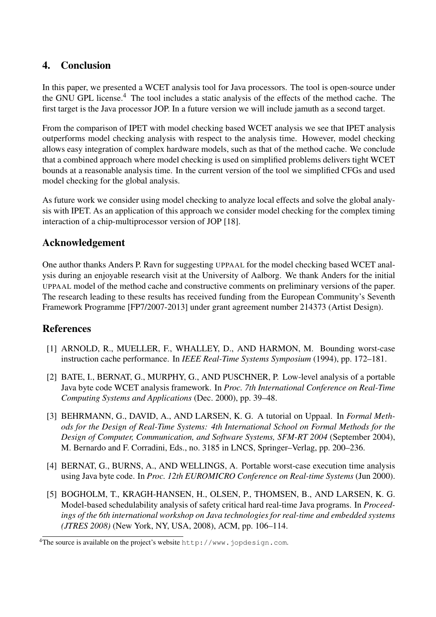## 4. Conclusion

In this paper, we presented a WCET analysis tool for Java processors. The tool is open-source under the GNU GPL license.<sup>4</sup> The tool includes a static analysis of the effects of the method cache. The first target is the Java processor JOP. In a future version we will include jamuth as a second target.

From the comparison of IPET with model checking based WCET analysis we see that IPET analysis outperforms model checking analysis with respect to the analysis time. However, model checking allows easy integration of complex hardware models, such as that of the method cache. We conclude that a combined approach where model checking is used on simplified problems delivers tight WCET bounds at a reasonable analysis time. In the current version of the tool we simplified CFGs and used model checking for the global analysis.

As future work we consider using model checking to analyze local effects and solve the global analysis with IPET. As an application of this approach we consider model checking for the complex timing interaction of a chip-multiprocessor version of JOP [18].

## Acknowledgement

One author thanks Anders P. Ravn for suggesting UPPAAL for the model checking based WCET analysis during an enjoyable research visit at the University of Aalborg. We thank Anders for the initial UPPAAL model of the method cache and constructive comments on preliminary versions of the paper. The research leading to these results has received funding from the European Community's Seventh Framework Programme [FP7/2007-2013] under grant agreement number 214373 (Artist Design).

## **References**

- [1] ARNOLD, R., MUELLER, F., WHALLEY, D., AND HARMON, M. Bounding worst-case instruction cache performance. In *IEEE Real-Time Systems Symposium* (1994), pp. 172–181.
- [2] BATE, I., BERNAT, G., MURPHY, G., AND PUSCHNER, P. Low-level analysis of a portable Java byte code WCET analysis framework. In *Proc. 7th International Conference on Real-Time Computing Systems and Applications* (Dec. 2000), pp. 39–48.
- [3] BEHRMANN, G., DAVID, A., AND LARSEN, K. G. A tutorial on Uppaal. In *Formal Methods for the Design of Real-Time Systems: 4th International School on Formal Methods for the Design of Computer, Communication, and Software Systems, SFM-RT 2004* (September 2004), M. Bernardo and F. Corradini, Eds., no. 3185 in LNCS, Springer–Verlag, pp. 200–236.
- [4] BERNAT, G., BURNS, A., AND WELLINGS, A. Portable worst-case execution time analysis using Java byte code. In *Proc. 12th EUROMICRO Conference on Real-time Systems* (Jun 2000).
- [5] BOGHOLM, T., KRAGH-HANSEN, H., OLSEN, P., THOMSEN, B., AND LARSEN, K. G. Model-based schedulability analysis of safety critical hard real-time Java programs. In *Proceedings of the 6th international workshop on Java technologies for real-time and embedded systems (JTRES 2008)* (New York, NY, USA, 2008), ACM, pp. 106–114.

<sup>&</sup>lt;sup>4</sup>The source is available on the project's website http://www.jopdesign.com.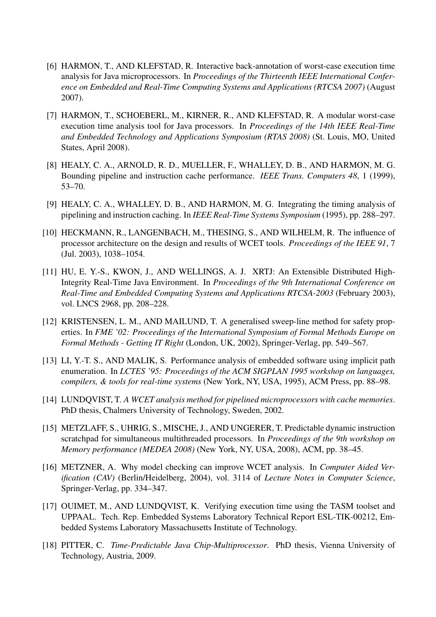- [6] HARMON, T., AND KLEFSTAD, R. Interactive back-annotation of worst-case execution time analysis for Java microprocessors. In *Proceedings of the Thirteenth IEEE International Conference on Embedded and Real-Time Computing Systems and Applications (RTCSA 2007)* (August 2007).
- [7] HARMON, T., SCHOEBERL, M., KIRNER, R., AND KLEFSTAD, R. A modular worst-case execution time analysis tool for Java processors. In *Proceedings of the 14th IEEE Real-Time and Embedded Technology and Applications Symposium (RTAS 2008)* (St. Louis, MO, United States, April 2008).
- [8] HEALY, C. A., ARNOLD, R. D., MUELLER, F., WHALLEY, D. B., AND HARMON, M. G. Bounding pipeline and instruction cache performance. *IEEE Trans. Computers 48*, 1 (1999), 53–70.
- [9] HEALY, C. A., WHALLEY, D. B., AND HARMON, M. G. Integrating the timing analysis of pipelining and instruction caching. In *IEEE Real-Time Systems Symposium* (1995), pp. 288–297.
- [10] HECKMANN, R., LANGENBACH, M., THESING, S., AND WILHELM, R. The influence of processor architecture on the design and results of WCET tools. *Proceedings of the IEEE 91*, 7 (Jul. 2003), 1038–1054.
- [11] HU, E. Y.-S., KWON, J., AND WELLINGS, A. J. XRTJ: An Extensible Distributed High-Integrity Real-Time Java Environment. In *Proceedings of the 9th International Conference on Real-Time and Embedded Computing Systems and Applications RTCSA-2003* (February 2003), vol. LNCS 2968, pp. 208–228.
- [12] KRISTENSEN, L. M., AND MAILUND, T. A generalised sweep-line method for safety properties. In *FME '02: Proceedings of the International Symposium of Formal Methods Europe on Formal Methods - Getting IT Right* (London, UK, 2002), Springer-Verlag, pp. 549–567.
- [13] LI, Y.-T. S., AND MALIK, S. Performance analysis of embedded software using implicit path enumeration. In *LCTES '95: Proceedings of the ACM SIGPLAN 1995 workshop on languages, compilers, & tools for real-time systems* (New York, NY, USA, 1995), ACM Press, pp. 88–98.
- [14] LUNDQVIST, T. *A WCET analysis method for pipelined microprocessors with cache memories*. PhD thesis, Chalmers University of Technology, Sweden, 2002.
- [15] METZLAFF, S., UHRIG, S., MISCHE, J., AND UNGERER, T. Predictable dynamic instruction scratchpad for simultaneous multithreaded processors. In *Proceedings of the 9th workshop on Memory performance (MEDEA 2008)* (New York, NY, USA, 2008), ACM, pp. 38–45.
- [16] METZNER, A. Why model checking can improve WCET analysis. In *Computer Aided Verification (CAV)* (Berlin/Heidelberg, 2004), vol. 3114 of *Lecture Notes in Computer Science*, Springer-Verlag, pp. 334–347.
- [17] OUIMET, M., AND LUNDQVIST, K. Verifying execution time using the TASM toolset and UPPAAL. Tech. Rep. Embedded Systems Laboratory Technical Report ESL-TIK-00212, Embedded Systems Laboratory Massachusetts Institute of Technology.
- [18] PITTER, C. *Time-Predictable Java Chip-Multiprocessor*. PhD thesis, Vienna University of Technology, Austria, 2009.